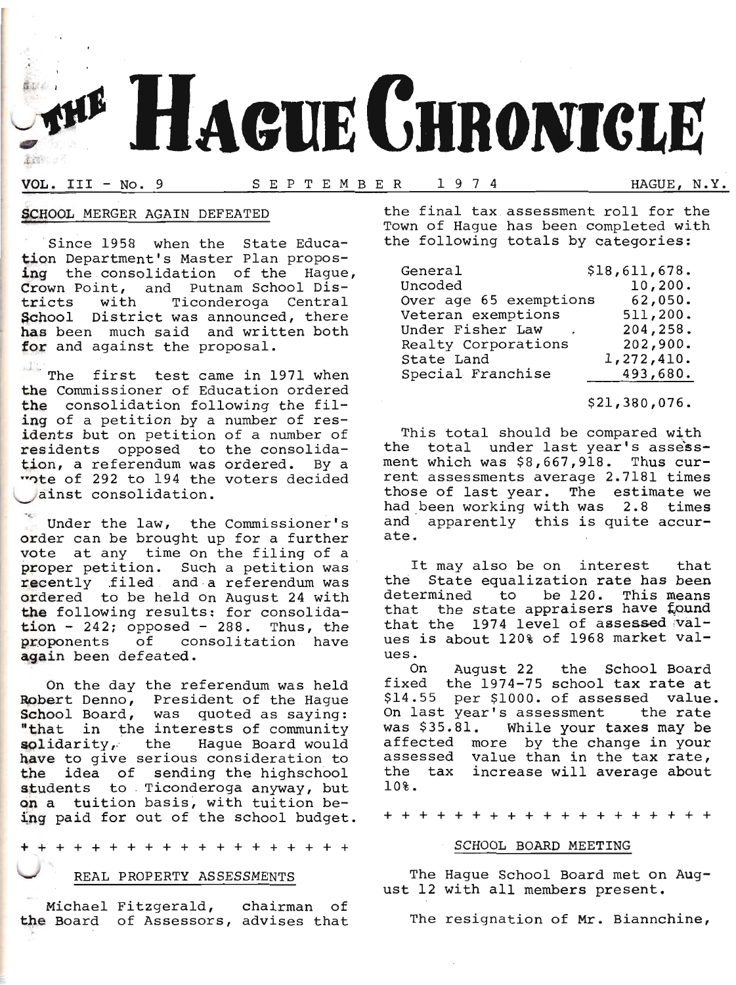

## VOL. IrI - No. 9 SEPTEMBER 1974 HAGUE, N.Y.

## SCHOOL MERGER AGAIN DEFEATED

Since 1958 when the State Education Department's Master Plan propos-<br>ing the consolidation of the Hague, Crown Point, and Putnam School Districts with Ticonderoga Central School District was announced, there has been much said and written both for and against the proposal.

The first test came in 1971 when the Commissioner of Education ordered the consolidation following the filing of a petition by a number of residents but on petition of a number of residents opposed to the consolidation, a referendum was ordered. BY a "Ote of 292 to 194 the voters decided ainst consolidation.

Under the law, the Commissioner's order can be brought up for a further vote at any time on the filing of a proper petition. Such a petition was recently filed and a referendum was ordered to be held on August 24 with the following results: for consolida $tion - 242$ ; opposed - 288. Thus, the proponents of consolitation have again been defeated.

On the day the referendum was held Robert Denno, President of the Hague School Board, was quoted as saying:<br>"that in the interests of community solidarity, the Haque Board would have to give serious consideration to the idea of sending the highschool students to Ticonderoga anyway, but on a tuition basis, with tuition being paid for out of the school budget.

+++++++++++++++++++

## REAL PROPERTY ASSESSMENTS

Michael Fitzgerald, chairman of<br>the Board of Assessors, advises that Michael Fitzgerald, chairman of

the final tax assessment ro11 for the Town of Hague has been completed with the following totals by categories:

| General                | \$18,611,678. |
|------------------------|---------------|
| Uncoded                | 10, 200.      |
| Over age 65 exemptions | 62,050.       |
| Veteran exemptions     | 511,200.      |
| Under Fisher Law       | 204,258.      |
| Realty Corporations    | 202,900.      |
| State Land             | 1,272,410.    |
| Special Franchise      | 493,680.      |

## \$21,380,076.

This total should be compared with the total under last year's assessment which was \$8,667,9L8. Thus current assessments average 2.7181 times<br>those of last year. The estimate we had been working with was 2.8 times and apparently this is quite accurate.

It may also be on interest that the State equalization rate has been end beate equalization race has been<br>determined to be 120. This means that the state appraisers have found<br>that the 1974 level of assessed valthat the 1974 level of assessed val-<br>ues is about 120% of 1968 market values.

on August 22 the School Board fixed the 1974-75 school tax rate at \$14.55 per \$f000. of assessed vaIue. On last year's assessment the rate<br>was \$35.81. While your taxes may be While your taxes may be affected more by the change in your<br>assessed value than in the tax rate,<br>the tax increase will average about 10?.

+++++++++++++++++++

#### SCHOOL BOARD MEETING

The Hague School Board met on Aug- ust 12 with all members present.

The resignation of Mr. Biannchine,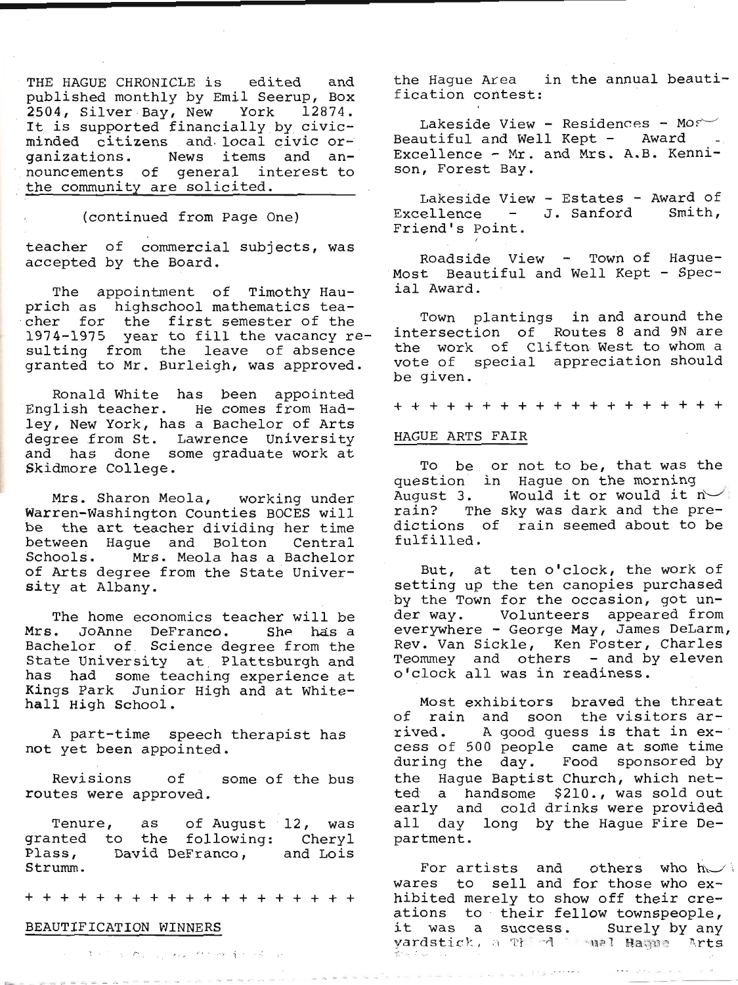THE HAGUE CHRONICLE is edited and<br>published monthly by Emil Seerup, Box<br>2504, Silver Bay, New York 12874. It is supported financially by civic- minded citizens and, local civic or- ganizations. News items and announcements of general interest to the community are solicited.

, (continued from page One)

teacher of commercial subjects, was accepted by the Board.

The appointment of Timothy Hau-<br>prich as highschool mathematics tea-<br>cher for the first semester of the<br>1974-1975 year to fill the vacancy re-<br>sulting from the leave of absence<br>granted to Mr. Burleigh, was approved.

Ronald White has been appointed<br>English teacher. He comes from Had-<br>ley, New York, has a Bachelor of Arts<br>degree from St. Lawrence University<br>and has done some graduate work at<br>Skidmore College.

Mrs. Sharon Meola, working under<br>Warren-Washington Counties BOCES will<br>be the art teacher dividing her time<br>between Hague and Bolton Central<br>Schools. Mrs. Meola has a Bachelor<br>of Arts degree from the State Univer-<br>sity at

The home economics teacher will be<br>Mrs. JoAnne DeFranco. She has a<br>Bachelor of Science degree from the<br>State University at Plattsburgh and<br>has had some teaching experience at<br>Kings Park Junior High and at White-<br>hall High

A part-time speech therapist has not yet been appointed.

Revisions of some of the bus<br>routes were approved.

Tenure, as of August 12, was<br>granted to the following: Cheryl<br>Plass, David DeFranco, and Lois<br>Strumm.

+++++++++++++++++++

### BEAUTIFICATION WINNERS

the Hague Area in the annual beauti- fication contest:

Lakeside View - Residences - Most<br>Beautiful and Well Kept - Award -<br>Excellence - Mr. and Mrs. A.B. Kennison, Forest Bay.

Lakeside View - Estates - Award of<br>Excellence - J. Sanford Smith,<br>Friend's Point.

Roadside View - Town of Hague-<br>Most Beautiful and Well Kept - Spec-<br>ial Award.

Town plantings in and around the intersection of Routes 8 and 9N are the work of Clifton West to whom a vote of special appreciation should be given.

+++++++++++++++++++

#### HAGUE ARTS FAIR

To be or not to be, that was the question in Hague on the morning<br>August 3. Would it or would it n-<br>rain? The sky was dark and the pre-<br>dictions of rain seemed about to be<br>fulfilled.

But, at ten o'clock, the work of setting up the ten canopies purchased by the Town for the occasion, got un-<br>der way. Volunteers appeared from everywhere - George May, James DeLarm, Rev. Van Sickle, Ken Foster, Charles<br>Teommey and others - and by eleven<br>o'clock all was in readiness.

Most exhibitors braved the threat<br>of rain and soon the visitors ar-<br>rived. A good guess is that in excess of 500 people came at some time<br>during the day. Food sponsored by<br>the Hague Baptist Church, which net-<br>ted a handsome 9210., was sold out<br>early and cold drinks were provided<br>all day long by the Hague Fire De-<br>partment

For artists and others who  $h \sim$ .<br>wares to sell and for those who exhibited merely to show off their cre-<br>ations to their fellow townspeople,<br>it was a success. Surely-by-any<br>yardstick, a  $\mathbb{P}\left[\begin{array}{ccc} \mathbb{P}\mathbb{P} & \mathbb{P}\mathbb{P}^1 & \mathbb{P}\mathbb{P}^1\mathbb{P}^1 & \mathbb{P}^1\mathbb{P}^1\mathbb{P}^1\mathbb{P}^1\mathbb{P}^1$ 

The Complete Change of the Complete Complete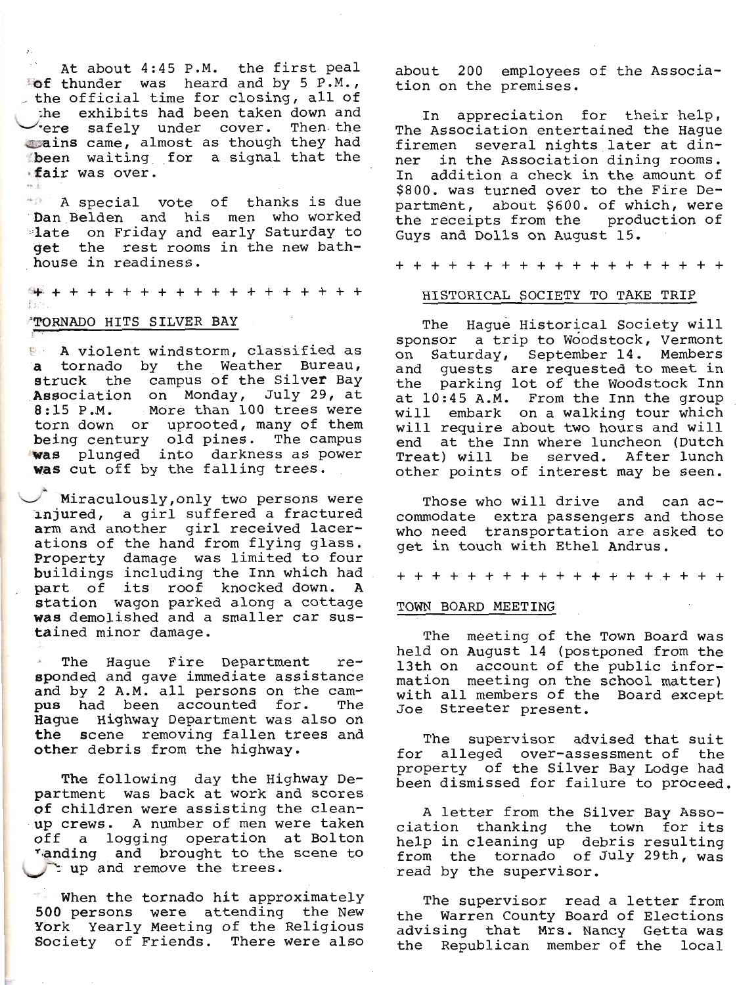At about 4:45 P.M. the first peal<br>of thunder was heard and by 5 P.M.,<br>the official time for closing, all of the exhibits had been taken down and <br>
rere safely under cover. Then the<br>
sains came, almost as though they had<br>inder waiting for a signal that the<br>inder was over.

A special vote of thanks is due<br>'Dan Belden and his men who worked<br>'iate on Friday and early Saturday to get the rest rooms in the new bathhouse in readiness.

i++ + + + + + + + + + + + + + + + + + <sup>i</sup>

## -TORNADO HITS SILVER BAY

 $\frac{1}{2}$ 

**1:** A violent windstorm, classified as<br>a tornado by the Weather Bureau, struck the campus of the Silver Bay<br>Association on Monday, July 29, at<br>8:15 P.M. More than 100 trees were<br>torn down or uprooted, many of them<br>being century old pines. The campus<br>was plunged into darkness as power was cut off by the falling trees.

Miraculously, only two persons were<br>'injured, a girl suffered a fractured<br>arm and another girl received lacerations of the hand from flying glass.<br>Property damage was limited to four<br>buildings including the Inn which had<br>part of its roof knocked down. A<br>station wagon parked along a cottage<br>was demolished and a smaller car sus-<br>ta

' The Hague Fire Department re- eponded and gave immediate assistance and by 2 A.M. all persons on the cam-Hague Highway Department was also on<br>the scene removing fallen trees and<br>other debris from the highway.

The following day the Highway De-<br>partment was back at work and scores<br>of children were assisting the clean-<br>up crews. A number of men were taken off a logging operation at Bolton<br>Tanding and brought to the scene to \-/\*'- up and remove the trees.

When the tornado hit approximately<br>500 persons were attending the New<br>York Yearly Meeting of the Religious<br>Society of Friends. There were also

about 200 employees of the Associa-<br>tion on the premises.

In appreciation for their help,<br>The Association entertained the Hague<br>firemen several nights later at din-<br>ner in the Association dining rooms. In addition a check in the amount of \$800. was turned over to the Fire De-<br>partment, about \$600. of which, were<br>the receipts from the production of<br>Guys and Dolls on August 15.

+++++++++++++++++++

### HISTORICAL SOCIETY TO TAKE TRIP

The Hague Historical Society will sponsor a trip to Woodstock, Vermont on Saturday, September 14. Members<br>and guests are requested to meet in<br>the parking lot of the Woodstock Inn<br>at 10:45 A.M. From the Inn the group<br>will embark on a walking tour which<br>will require about two hours and will<br>end

Those who will drive and can ac-<br>commodate extra passengers and those<br>who need transportation are asked to<br>get in touch with Ethel Andrus.

+ + + + + + + + + + + + + + +.+ + + +

## TOWN BOARD MEETING

The meeting of the Town Board was<br>held on August 14 (postponed from the<br>13th on account of the public infor-<br>mation meeting on the school matter)<br>with all members of the Board except<br>Joe Streeter present.

The supervisor advised that suit<br>for alleged over-assessment of the<br>property of the Silver Bay Lodge had<br>been dismissed for failure to proceed.

A letter from the Silver Bay Asso-<br>ciation thanking the town for its<br>help in cleaning up debris resulting<br>from the tornado of July 29th, was<br>read by the supervisor.

The supervisor read a letter from<br>the Warren County Board of Elections<br>advising that Mrs. Nancy Getta was<br>the Republican member of the local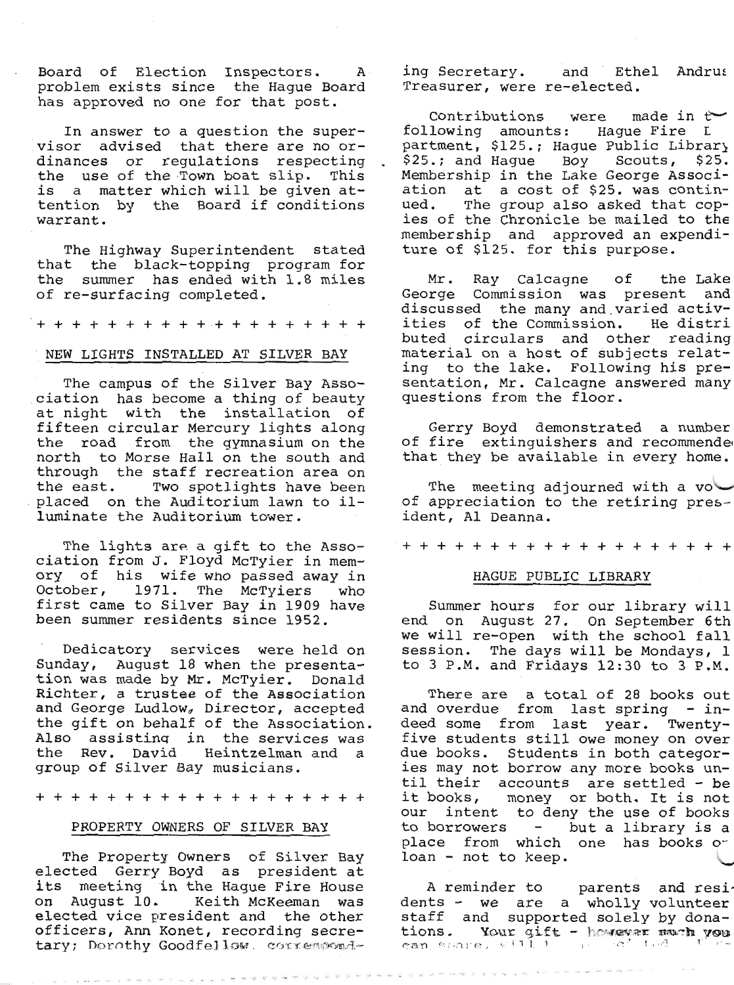Board of Election Inspectors. A problem exists since the Hague Board has approved no one for that post.

In answer to a question the super-<br>visor advised that there are no or-<br>dinances or regulations respecting.<br>the use of the Town boat slip. This<br>is a matter which will be given at-<br>tention by the Board if conditions<br>warrant.

The Highway Superintendent stated<br>that the black-topping program for<br>the summer has ended with 1.8 miles<br>of re-surfacing completed.

+++++++++++++++++++

### NEW LIGHTS INSTALLED AT SILVER BAY

The campus of the Silver Bay Asso-<br>ciation has become a thing of beauty<br>at night with the installation of<br>fifteen circular Mercury lights along<br>the road from the gymnasium on the<br>north to Morse Hall on the south and<br>throug

The lights are a gift to the Asso-<br>ciation from J. Floyd McTyier in mem-<br>ory of his wife who passed away in<br>October, 1971. The McTyiers '\* first came to Silver Bay in 1909 have been summer residents since 1952.

Dedicatory services were held on Sunday, August 18 when the presenta-<br>tion was made by Mr. McTyier. Donald<br>Richter, a trustee of the Association<br>and George Ludlow, Director, accepted<br>the gift on behalf of the Association.<br>Also assisting in the services wa the Rev. David Heintzelman and a group of Silver Bay musicians.

+++++++++++++++++++

## PROPERTY OWNERS OF SILVER BAY

The Property Owners of Silver Bay<br>elected Gerry Boyd as president at<br>its meeting in the Hague Fire House<br>on August 10. Keith McKeeman was<br>elected vice president and the other<br>officers, Ann Konet, recording secre-<br>tary; Der

ing Secretary. and Ethel Andrus Treasurer, were re-elected.

Contributions were made in  $t$ <br>following amounts: Hague Fire L<br>partment, \$125.; Hague Public Library<br>\$25.; and Hague Boy Scouts, \$25.<br>Membership in the Lake George Associ-<br>ation at a cost of \$25. was contin-<br>ued. The grou

Mr. Ray Calcagne of the Lake<br>George Commission was present and<br>discussed the many and varied activ-<br>ities of the Commission. He distri<br>buted circulars and other reading<br>material on a host of subjects relat-<br>ing to the lake

Gerry Boyd demonstrated a number<br>of fire extinguishers and recommendee<br>that they be available in every home.

The meeting adjourned with a voto f appreciation to the retiring pres-<br>ident, A1 Deanna.

+++++++++++++++++++

## HAGUE PUBLIC LIBRARY

Summer hours for our library will<br>end on August 27. On September 6th<br>we will re-open with the school fall<br>session. The days will be Mondays, 1<br>to 3 P.M. and Fridays 12:30 to 3 P.M.

There are a total of 28 books out<br>and overdue from last spring - in-<br>deed some from last year. Twenty-<br>five students still owe money on over<br>due books. Students in both categor-<br>ies may not borrow any more books un-<br>til th place from which one has books or<br>loan - not to keep.

A reminder to parents and residents - we are a wholly volunteer staff and supported solely by dona-<br>tions. Your gift - however weak you can solute, with i

重重 网络非常重要重新 网络利亚语 医骨盆的 医色彩性发育 化三十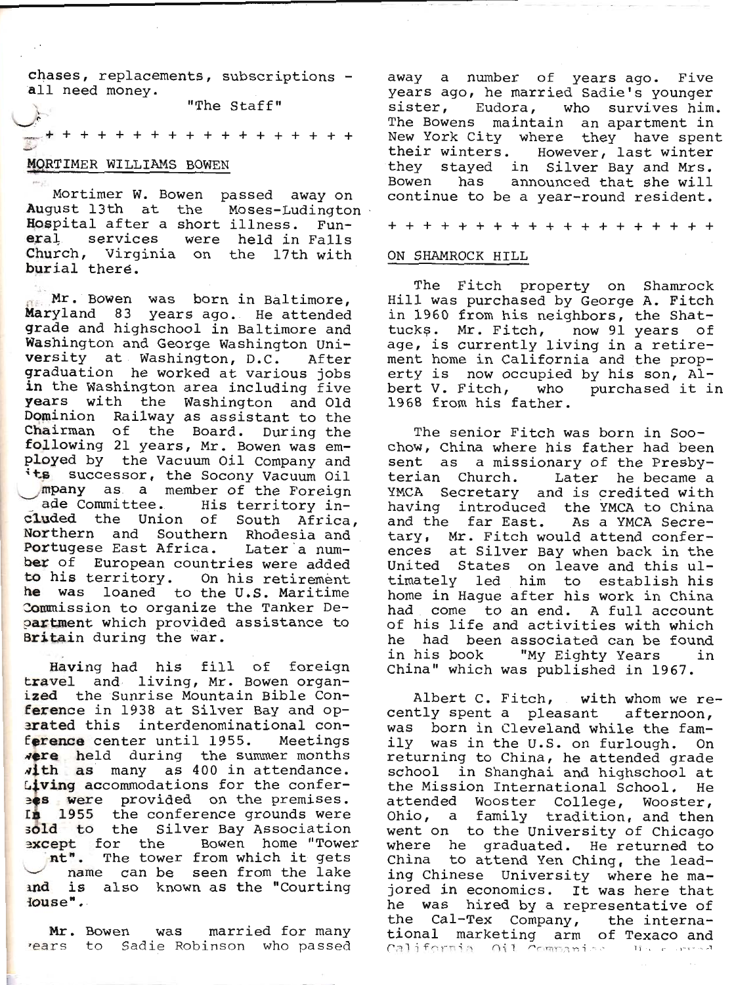chases, replacements, subscriptions -<br>all need money.

"The Staff"

+ + + + + + + + + + + + + + + +

## MORTIMER WILLIAMS BOWEN

Mortimer W. Bowen<br>August 13th at the<br>Hospital after a short<br>eral services were<br>Church, Virginia on<br>purial there. Mortimer W. Bowen passed away on August 13th at the Moses-Ludington noses-hadington<br>illness. Fun-<br>held in Falls<br>the 17th with

When Was born in Baltimore,<br>Maryland 83 years ago. He attended<br>grade and highschool in Baltimore and<br>Washington and George Washington Uni-<br>versity at Washington, D.C. After<br>graduation he worked at various jobs<br>in the Washi its successor, the Socony Vacuum Oil<br>mpany as a member of the Foreign<br>ade Committee. His territory in-<br>cluded the Union of South Africa,<br>Northern and Southern Rhodesia and<br>Portugese East Africa. Later a num-<br>ber of Europea

Having had his fill of foreign<br>travel and living, Mr. Bowen organ-<br>ized the Sunrise Mountain Bible Con-<br>ference in 1938 at Silver Bay and op-<br>arated this interdenominational con-<br>ference center until 1955. Meetings<br>were he sold to the Silver Bay Association<br>except for the Bowen home "Tower<br>nt". The tower from which it gets<br>name can be seen from the lake<br>and is also known as the "Courting<br>Jouse".

Mr. Bowen was married for many<br>
Years to Sadie Robinson who passed

L

away a number of years ago. Five<br>years ago, he married Sadie's younger<br>sister, Eudora, who survives him.<br>The Bowens maintain an apartment in<br>New York City where they have spent<br>their winters. However, last winter they stayed in Silver Bay and Mrs.<br>Bowen has announced that she will<br>continue to be a year-round resident.

+++++++++++++++++++

## ON SHAMROCK HTLL

The Fitch property on Shamrock<br>Hill was purchased by George A. Fitch in 1960 from his neighbors, the Shat-<br>tucks. Mr. Fitch, now 91 years of<br>age, is currently living in a retire-<br>ment home in California and the prop-<br>erty is now occupied by his son, Al-<br>bert V. Fitch, who purchased it in<br>19

The senior Fitch was born in Soo-<br>chow, China where his father had been<br>sent as a missionary of the Presby-<br>terian Church. Later he became a<br>YMCA Secretary and is credited with<br>having introduced the YMCA to China<br>and the f

Albert C. Fitch, with whom we recently spent a pleasant afternoon,<br>was born in Cleveland while the fam-<br>ily was in the U.S. on furlough. On<br>returning to China, he attended grade<br>school in Shanghai and highschool at<br>the Mis